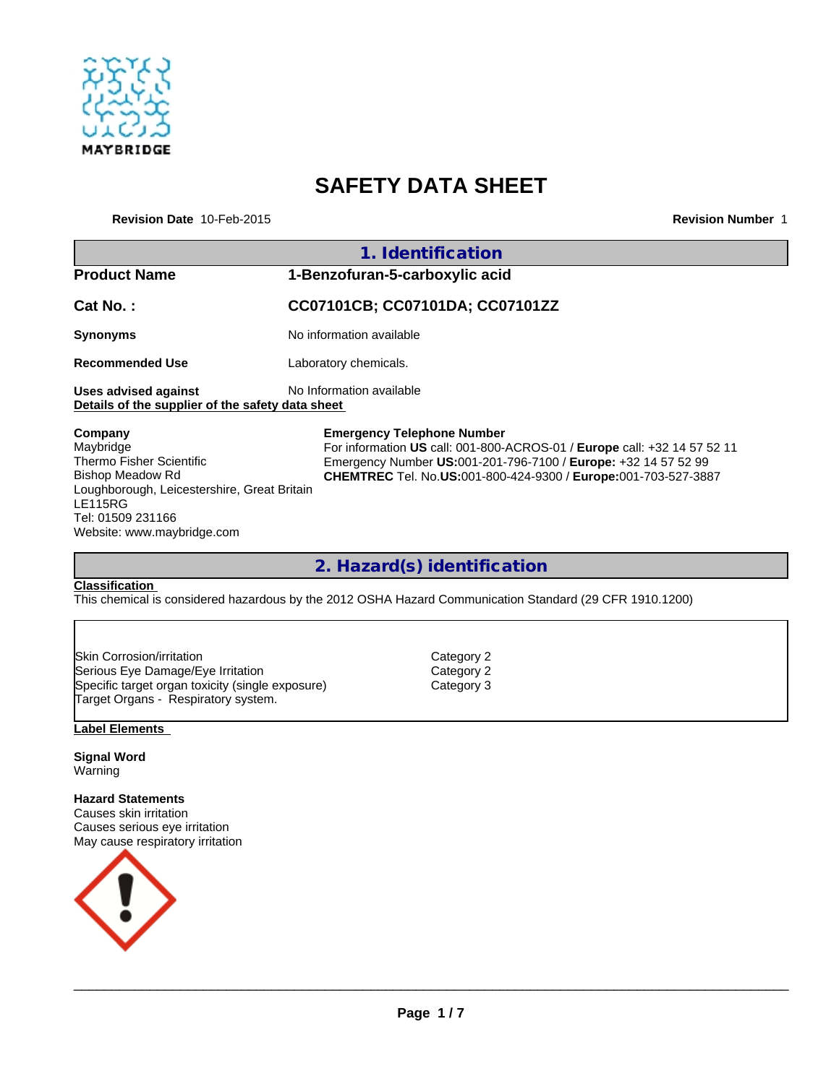

# **SAFETY DATA SHEET**

**Revision Date** 10-Feb-2015 **Revision Number** 1

|                                                                          | 1. Identification                                                        |  |
|--------------------------------------------------------------------------|--------------------------------------------------------------------------|--|
| <b>Product Name</b>                                                      | 1-Benzofuran-5-carboxylic acid                                           |  |
| Cat No.:                                                                 | CC07101CB; CC07101DA; CC07101ZZ                                          |  |
| <b>Synonyms</b>                                                          | No information available                                                 |  |
| <b>Recommended Use</b>                                                   | Laboratory chemicals.                                                    |  |
| Uses advised against<br>Details of the supplier of the safety data sheet | No Information available                                                 |  |
| Company                                                                  | <b>Emergency Telephone Number</b>                                        |  |
| Maybridge                                                                | For information US call: 001-800-ACROS-01 / Europe call: +32 14 57 52 11 |  |
| <b>Thermo Fisher Scientific</b>                                          | Emergency Number US:001-201-796-7100 / Europe: +32 14 57 52 99           |  |
| Bishop Meadow Rd                                                         | <b>CHEMTREC</b> Tel. No.US:001-800-424-9300 / Europe:001-703-527-3887    |  |
| Loughborough, Leicestershire, Great Britain                              |                                                                          |  |

**2. Hazard(s) identification**

#### **Classification**

Tel: 01509 231166

Website: www.maybridge.com

LE115RG

This chemical is considered hazardous by the 2012 OSHA Hazard Communication Standard (29 CFR 1910.1200)

| Skin Corrosion/irritation                        |
|--------------------------------------------------|
| Serious Eye Damage/Eye Irritation                |
| Specific target organ toxicity (single exposure) |
| Target Organs - Respiratory system.              |

Category 2 Category 2 Category 3

#### **Label Elements**

**Signal Word** Warning

**Hazard Statements** Causes skin irritation Causes serious eye irritation May cause respiratory irritation



 $\_$  ,  $\_$  ,  $\_$  ,  $\_$  ,  $\_$  ,  $\_$  ,  $\_$  ,  $\_$  ,  $\_$  ,  $\_$  ,  $\_$  ,  $\_$  ,  $\_$  ,  $\_$  ,  $\_$  ,  $\_$  ,  $\_$  ,  $\_$  ,  $\_$  ,  $\_$  ,  $\_$  ,  $\_$  ,  $\_$  ,  $\_$  ,  $\_$  ,  $\_$  ,  $\_$  ,  $\_$  ,  $\_$  ,  $\_$  ,  $\_$  ,  $\_$  ,  $\_$  ,  $\_$  ,  $\_$  ,  $\_$  ,  $\_$  ,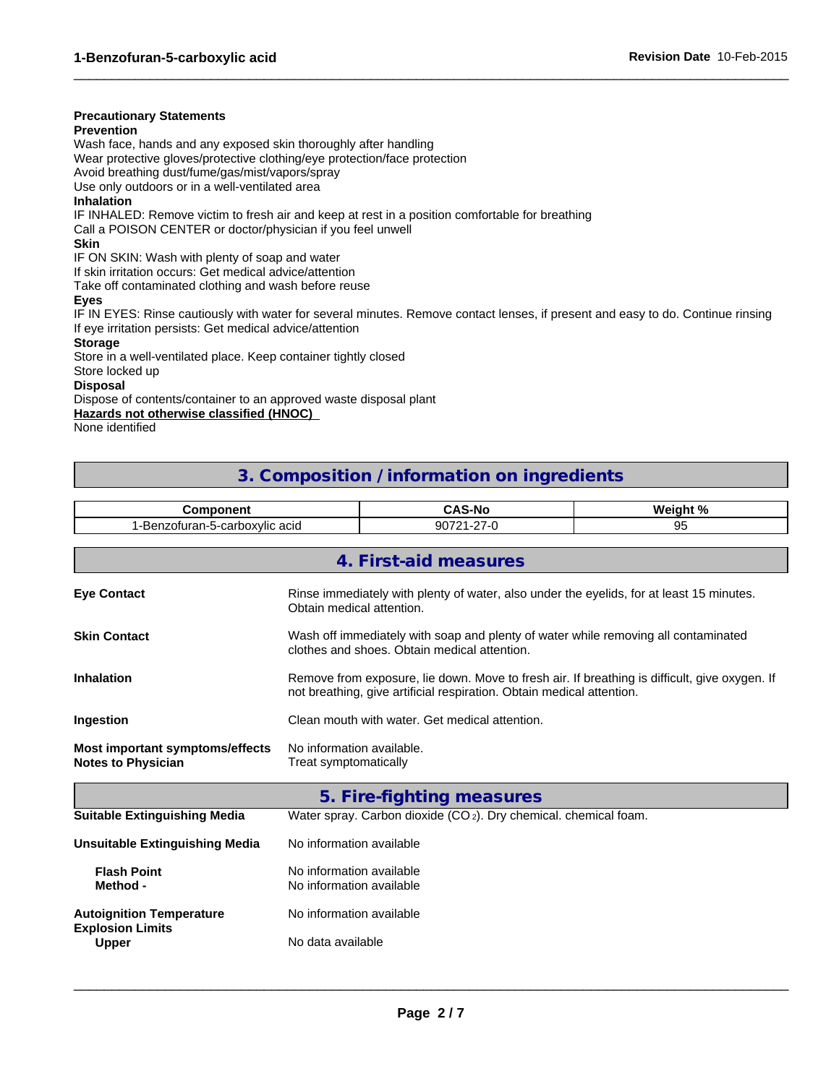#### **Precautionary Statements**

#### **Prevention**

Wash face, hands and any exposed skin thoroughly after handling

Wear protective gloves/protective clothing/eye protection/face protection

Avoid breathing dust/fume/gas/mist/vapors/spray

Use only outdoors or in a well-ventilated area

#### **Inhalation**

IF INHALED: Remove victim to fresh air and keep at rest in a position comfortable for breathing

Call a POISON CENTER or doctor/physician if you feel unwell

#### **Skin**

IF ON SKIN: Wash with plenty of soap and water

If skin irritation occurs: Get medical advice/attention

Take off contaminated clothing and wash before reuse

#### **Eyes**

IF IN EYES: Rinse cautiously with water for several minutes. Remove contact lenses, if present and easy to do. Continue rinsing If eye irritation persists: Get medical advice/attention

 $\_$  ,  $\_$  ,  $\_$  ,  $\_$  ,  $\_$  ,  $\_$  ,  $\_$  ,  $\_$  ,  $\_$  ,  $\_$  ,  $\_$  ,  $\_$  ,  $\_$  ,  $\_$  ,  $\_$  ,  $\_$  ,  $\_$  ,  $\_$  ,  $\_$  ,  $\_$  ,  $\_$  ,  $\_$  ,  $\_$  ,  $\_$  ,  $\_$  ,  $\_$  ,  $\_$  ,  $\_$  ,  $\_$  ,  $\_$  ,  $\_$  ,  $\_$  ,  $\_$  ,  $\_$  ,  $\_$  ,  $\_$  ,  $\_$  ,

#### **Storage**

Store in a well-ventilated place. Keep container tightly closed

Store locked up

#### **Disposal**

Dispose of contents/container to an approved waste disposal plant

**Hazards not otherwise classified (HNOC)** 

None identified

## **3. Composition / information on ingredients**

| <b>Component</b><br>1-Benzofuran-5-carboxylic acid<br>90721-27-0<br>4. First-aid measures<br>Rinse immediately with plenty of water, also under the eyelids, for at least 15 minutes.<br>Obtain medical attention.<br>Wash off immediately with soap and plenty of water while removing all contaminated<br>clothes and shoes. Obtain medical attention.<br>Remove from exposure, lie down. Move to fresh air. If breathing is difficult, give oxygen. If<br>not breathing, give artificial respiration. Obtain medical attention.<br>Clean mouth with water. Get medical attention.<br>No information available.<br>Treat symptomatically<br>5. Fire-fighting measures |                                                                              | 95 |  |  |  |
|-------------------------------------------------------------------------------------------------------------------------------------------------------------------------------------------------------------------------------------------------------------------------------------------------------------------------------------------------------------------------------------------------------------------------------------------------------------------------------------------------------------------------------------------------------------------------------------------------------------------------------------------------------------------------|------------------------------------------------------------------------------|----|--|--|--|
| <b>Eye Contact</b>                                                                                                                                                                                                                                                                                                                                                                                                                                                                                                                                                                                                                                                      |                                                                              |    |  |  |  |
|                                                                                                                                                                                                                                                                                                                                                                                                                                                                                                                                                                                                                                                                         |                                                                              |    |  |  |  |
| <b>Skin Contact</b>                                                                                                                                                                                                                                                                                                                                                                                                                                                                                                                                                                                                                                                     |                                                                              |    |  |  |  |
| <b>Inhalation</b><br>Ingestion<br><b>Most important symptoms/effects</b><br><b>Notes to Physician</b>                                                                                                                                                                                                                                                                                                                                                                                                                                                                                                                                                                   |                                                                              |    |  |  |  |
|                                                                                                                                                                                                                                                                                                                                                                                                                                                                                                                                                                                                                                                                         |                                                                              |    |  |  |  |
|                                                                                                                                                                                                                                                                                                                                                                                                                                                                                                                                                                                                                                                                         |                                                                              |    |  |  |  |
|                                                                                                                                                                                                                                                                                                                                                                                                                                                                                                                                                                                                                                                                         |                                                                              |    |  |  |  |
|                                                                                                                                                                                                                                                                                                                                                                                                                                                                                                                                                                                                                                                                         |                                                                              |    |  |  |  |
| <b>Suitable Extinguishing Media</b>                                                                                                                                                                                                                                                                                                                                                                                                                                                                                                                                                                                                                                     | Water spray. Carbon dioxide (CO <sub>2</sub> ). Dry chemical. chemical foam. |    |  |  |  |
| <b>Unsuitable Extinguishing Media</b><br>No information available                                                                                                                                                                                                                                                                                                                                                                                                                                                                                                                                                                                                       |                                                                              |    |  |  |  |
| <b>Flash Point</b><br>No information available<br>Method -<br>No information available                                                                                                                                                                                                                                                                                                                                                                                                                                                                                                                                                                                  |                                                                              |    |  |  |  |
| No information available<br><b>Autoignition Temperature</b><br><b>Explosion Limits</b>                                                                                                                                                                                                                                                                                                                                                                                                                                                                                                                                                                                  |                                                                              |    |  |  |  |
| No data available<br><b>Upper</b>                                                                                                                                                                                                                                                                                                                                                                                                                                                                                                                                                                                                                                       |                                                                              |    |  |  |  |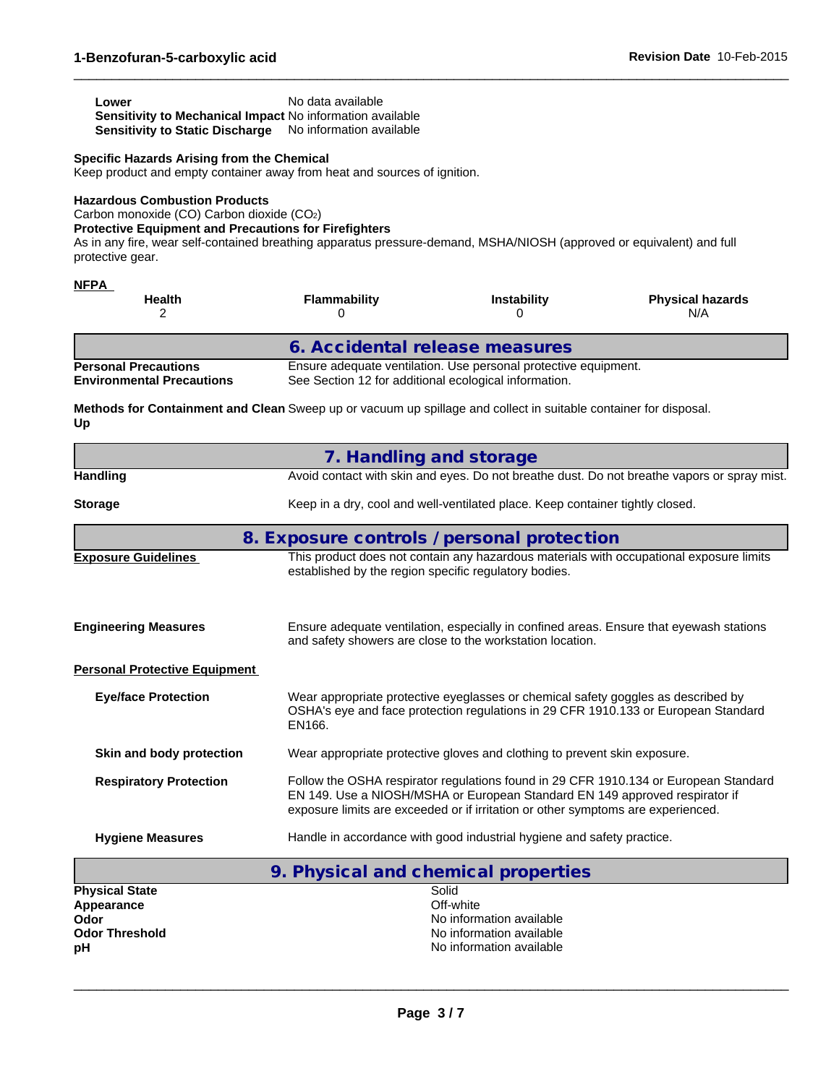| Lower                                                            | No data available |
|------------------------------------------------------------------|-------------------|
| <b>Sensitivity to Mechanical Impact No information available</b> |                   |
| <b>Sensitivity to Static Discharge</b> No information available  |                   |

#### **Specific Hazards Arising from the Chemical**

Keep product and empty container away from heat and sources of ignition.

#### **Hazardous Combustion Products**

Carbon monoxide (CO) Carbon dioxide (CO2)

#### **Protective Equipment and Precautions for Firefighters**

As in any fire, wear self-contained breathing apparatus pressure-demand, MSHA/NIOSH (approved or equivalent) and full protective gear.

 $\_$  ,  $\_$  ,  $\_$  ,  $\_$  ,  $\_$  ,  $\_$  ,  $\_$  ,  $\_$  ,  $\_$  ,  $\_$  ,  $\_$  ,  $\_$  ,  $\_$  ,  $\_$  ,  $\_$  ,  $\_$  ,  $\_$  ,  $\_$  ,  $\_$  ,  $\_$  ,  $\_$  ,  $\_$  ,  $\_$  ,  $\_$  ,  $\_$  ,  $\_$  ,  $\_$  ,  $\_$  ,  $\_$  ,  $\_$  ,  $\_$  ,  $\_$  ,  $\_$  ,  $\_$  ,  $\_$  ,  $\_$  ,  $\_$  ,

| <b>Health</b>                                                   | Flammability                                          | <b>Instability</b>                                              | <b>Physical hazards</b><br>N/A |
|-----------------------------------------------------------------|-------------------------------------------------------|-----------------------------------------------------------------|--------------------------------|
|                                                                 | 6. Accidental release measures                        |                                                                 |                                |
| <b>Personal Precautions</b><br><b>Environmental Precautions</b> | See Section 12 for additional ecological information. | Ensure adequate ventilation. Use personal protective equipment. |                                |

**Methods for Containment and Clean** Sweep up or vacuum up spillage and collect in suitable container for disposal. **Up**

|                                      | 7. Handling and storage                                                                                                                                                                                                                                 |  |  |  |
|--------------------------------------|---------------------------------------------------------------------------------------------------------------------------------------------------------------------------------------------------------------------------------------------------------|--|--|--|
| <b>Handling</b>                      | Avoid contact with skin and eyes. Do not breathe dust. Do not breathe vapors or spray mist.                                                                                                                                                             |  |  |  |
| <b>Storage</b>                       | Keep in a dry, cool and well-ventilated place. Keep container tightly closed.                                                                                                                                                                           |  |  |  |
|                                      | 8. Exposure controls / personal protection                                                                                                                                                                                                              |  |  |  |
| <b>Exposure Guidelines</b>           | This product does not contain any hazardous materials with occupational exposure limits<br>established by the region specific regulatory bodies.                                                                                                        |  |  |  |
| <b>Engineering Measures</b>          | Ensure adequate ventilation, especially in confined areas. Ensure that eyewash stations<br>and safety showers are close to the workstation location.                                                                                                    |  |  |  |
| <b>Personal Protective Equipment</b> |                                                                                                                                                                                                                                                         |  |  |  |
| <b>Eye/face Protection</b>           | Wear appropriate protective eyeglasses or chemical safety goggles as described by<br>OSHA's eye and face protection regulations in 29 CFR 1910.133 or European Standard<br>EN166.                                                                       |  |  |  |
| Skin and body protection             | Wear appropriate protective gloves and clothing to prevent skin exposure.                                                                                                                                                                               |  |  |  |
| <b>Respiratory Protection</b>        | Follow the OSHA respirator regulations found in 29 CFR 1910.134 or European Standard<br>EN 149. Use a NIOSH/MSHA or European Standard EN 149 approved respirator if<br>exposure limits are exceeded or if irritation or other symptoms are experienced. |  |  |  |
| <b>Hygiene Measures</b>              | Handle in accordance with good industrial hygiene and safety practice.                                                                                                                                                                                  |  |  |  |
|                                      | 9. Physical and chemical properties                                                                                                                                                                                                                     |  |  |  |
| <b>Dhuginal Cinta</b>                | <b>Calid</b>                                                                                                                                                                                                                                            |  |  |  |

|                       | 7. FIIYSICAI AHU CHEHICAI DIUDEI LIES |
|-----------------------|---------------------------------------|
| <b>Physical State</b> | Solid                                 |
| Appearance            | Off-white                             |
| Odor                  | No information available              |
| <b>Odor Threshold</b> | No information available              |
| рH                    | No information available              |
|                       |                                       |

 $\_$  ,  $\_$  ,  $\_$  ,  $\_$  ,  $\_$  ,  $\_$  ,  $\_$  ,  $\_$  ,  $\_$  ,  $\_$  ,  $\_$  ,  $\_$  ,  $\_$  ,  $\_$  ,  $\_$  ,  $\_$  ,  $\_$  ,  $\_$  ,  $\_$  ,  $\_$  ,  $\_$  ,  $\_$  ,  $\_$  ,  $\_$  ,  $\_$  ,  $\_$  ,  $\_$  ,  $\_$  ,  $\_$  ,  $\_$  ,  $\_$  ,  $\_$  ,  $\_$  ,  $\_$  ,  $\_$  ,  $\_$  ,  $\_$  ,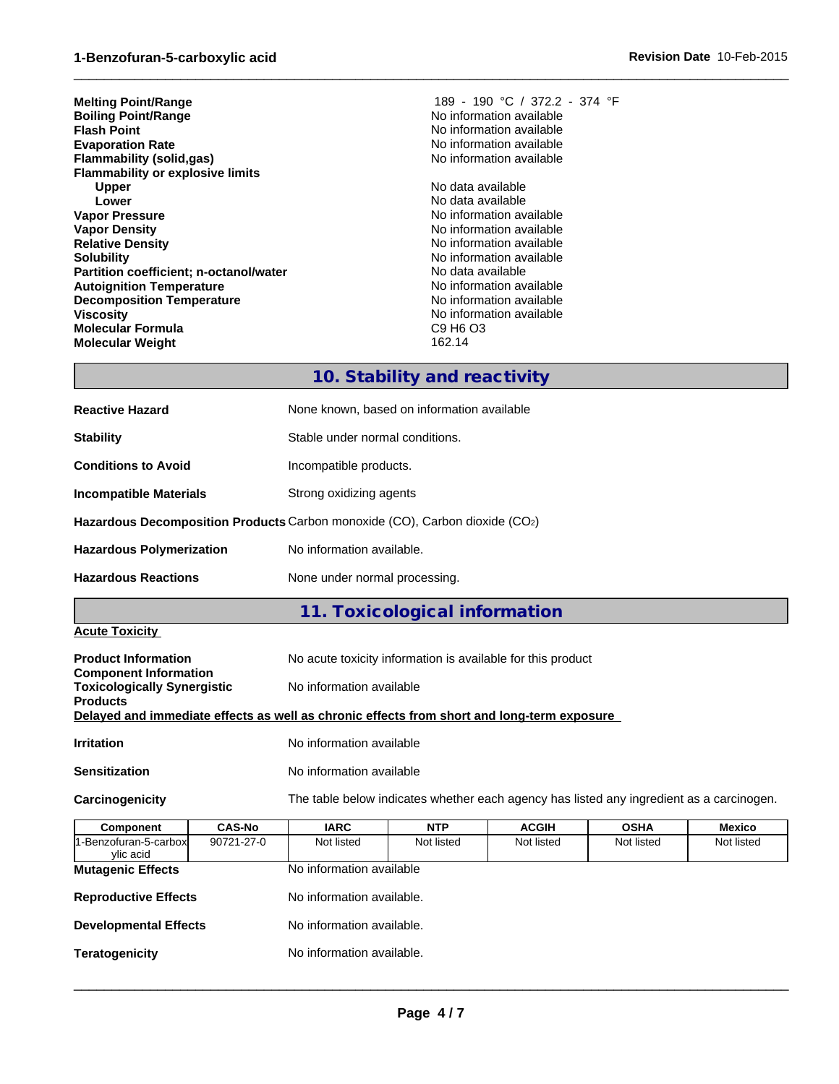| <b>Melting Point/Range</b>              | 189 - 190 °C / 372.2 - 374 °F |
|-----------------------------------------|-------------------------------|
| <b>Boiling Point/Range</b>              | No information available      |
| Flash Point                             | No information available      |
| <b>Evaporation Rate</b>                 | No information available      |
| Flammability (solid,gas)                | No information available      |
| <b>Flammability or explosive limits</b> |                               |
| <b>Upper</b>                            | No data available             |
| Lower                                   | No data available             |
| Vapor Pressure                          | No information available      |
| <b>Vapor Density</b>                    | No information available      |
| <b>Relative Density</b>                 | No information available      |
| Solubilitv                              | No information available      |
| Partition coefficient; n-octanol/water  | No data available             |
| <b>Autoignition Temperature</b>         | No information available      |
| <b>Decomposition Temperature</b>        | No information available      |
| Viscosity                               | No information available      |
| Molecular Formula                       | C9 H6 O3                      |
| Molecular Weight                        | 162.14                        |
|                                         |                               |

## **10. Stability and reactivity**

 $\_$  ,  $\_$  ,  $\_$  ,  $\_$  ,  $\_$  ,  $\_$  ,  $\_$  ,  $\_$  ,  $\_$  ,  $\_$  ,  $\_$  ,  $\_$  ,  $\_$  ,  $\_$  ,  $\_$  ,  $\_$  ,  $\_$  ,  $\_$  ,  $\_$  ,  $\_$  ,  $\_$  ,  $\_$  ,  $\_$  ,  $\_$  ,  $\_$  ,  $\_$  ,  $\_$  ,  $\_$  ,  $\_$  ,  $\_$  ,  $\_$  ,  $\_$  ,  $\_$  ,  $\_$  ,  $\_$  ,  $\_$  ,  $\_$  ,

| <b>Reactive Hazard</b>          | None known, based on information available                                  |
|---------------------------------|-----------------------------------------------------------------------------|
| <b>Stability</b>                | Stable under normal conditions.                                             |
| <b>Conditions to Avoid</b>      | Incompatible products.                                                      |
| <b>Incompatible Materials</b>   | Strong oxidizing agents                                                     |
|                                 | Hazardous Decomposition Products Carbon monoxide (CO), Carbon dioxide (CO2) |
| <b>Hazardous Polymerization</b> | No information available.                                                   |
| <b>Hazardous Reactions</b>      | None under normal processing.                                               |

## **11. Toxicological information**

#### **Acute Toxicity**

| <b>Product Information</b>                                         | No acute toxicity information is available for this product                                |
|--------------------------------------------------------------------|--------------------------------------------------------------------------------------------|
| <b>Component Information</b><br><b>Toxicologically Synergistic</b> | No information available                                                                   |
| <b>Products</b>                                                    | Delayed and immediate effects as well as chronic effects from short and long-term exposure |
|                                                                    |                                                                                            |
| <b>Irritation</b>                                                  | No information available                                                                   |
| <b>Sensitization</b>                                               | No information available                                                                   |

**Carcinogenicity** The table below indicates whether each agency has listed any ingredient as a carcinogen.

| Component                         | <b>CAS-No</b> | <b>IARC</b>               | <b>NTP</b> | <b>ACGIH</b> | <b>OSHA</b> | <b>Mexico</b> |
|-----------------------------------|---------------|---------------------------|------------|--------------|-------------|---------------|
| -Benzofuran-5-carbox<br>ylic acid | 90721-27-0    | Not listed                | Not listed | Not listed   | Not listed  | Not listed    |
| <b>Mutagenic Effects</b>          |               | No information available  |            |              |             |               |
| <b>Reproductive Effects</b>       |               | No information available. |            |              |             |               |
| <b>Developmental Effects</b>      |               | No information available. |            |              |             |               |
| <b>Teratogenicity</b>             |               | No information available. |            |              |             |               |
|                                   |               |                           |            |              |             |               |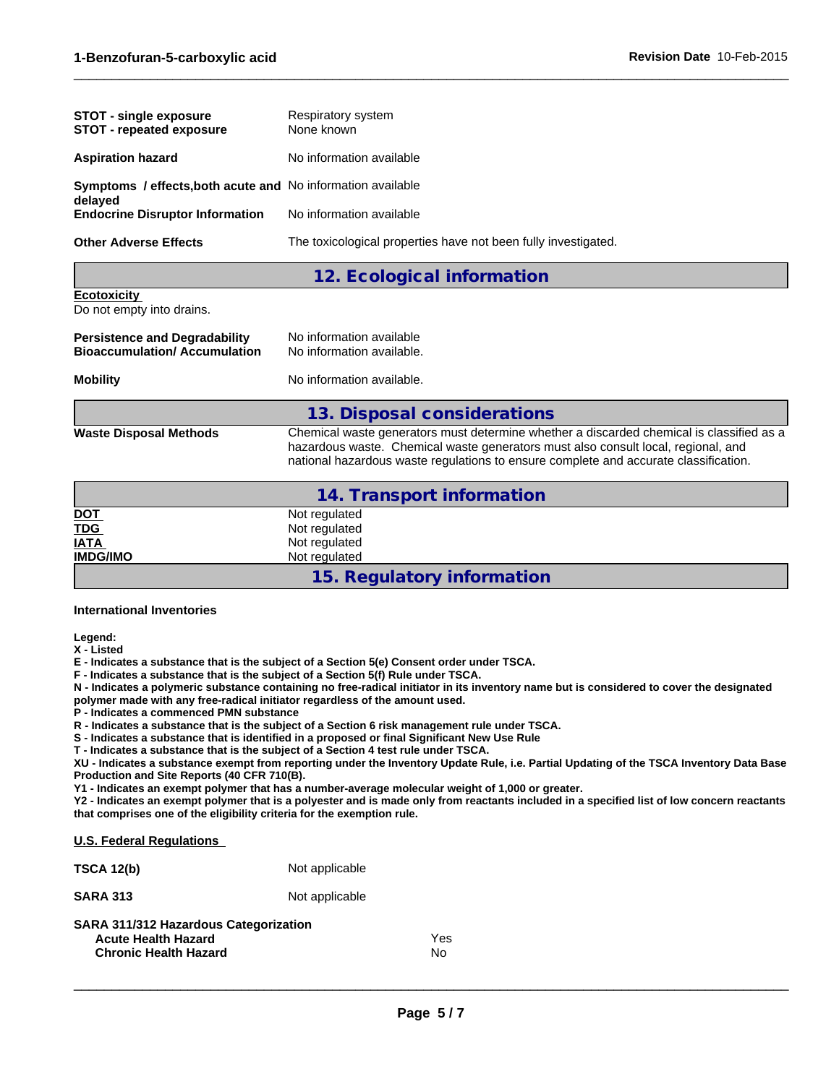| <b>STOT - single exposure</b><br><b>STOT - repeated exposure</b>       | Respiratory system<br>None known                               |
|------------------------------------------------------------------------|----------------------------------------------------------------|
| <b>Aspiration hazard</b>                                               | No information available                                       |
| Symptoms / effects, both acute and No information available<br>delayed |                                                                |
| <b>Endocrine Disruptor Information</b>                                 | No information available                                       |
| <b>Other Adverse Effects</b>                                           | The toxicological properties have not been fully investigated. |

### **12. Ecological information**

**Ecotoxicity** 

Do not empty into drains.

| <b>Persistence and Degradability</b> | No information available  |
|--------------------------------------|---------------------------|
| <b>Bioaccumulation/Accumulation</b>  | No information available. |
|                                      |                           |

**Mobility** No information available.

#### **13. Disposal considerations**

**Waste Disposal Methods** Chemical waste generators must determine whether a discarded chemical is classified as a hazardous waste. Chemical waste generators must also consult local, regional, and national hazardous waste regulations to ensure complete and accurate classification.

 $\_$  ,  $\_$  ,  $\_$  ,  $\_$  ,  $\_$  ,  $\_$  ,  $\_$  ,  $\_$  ,  $\_$  ,  $\_$  ,  $\_$  ,  $\_$  ,  $\_$  ,  $\_$  ,  $\_$  ,  $\_$  ,  $\_$  ,  $\_$  ,  $\_$  ,  $\_$  ,  $\_$  ,  $\_$  ,  $\_$  ,  $\_$  ,  $\_$  ,  $\_$  ,  $\_$  ,  $\_$  ,  $\_$  ,  $\_$  ,  $\_$  ,  $\_$  ,  $\_$  ,  $\_$  ,  $\_$  ,  $\_$  ,  $\_$  ,

|                         | 14. Transport information  |
|-------------------------|----------------------------|
| <u>DOT</u>              | Not regulated              |
| $\overline{\text{TDG}}$ | Not regulated              |
| <b>IATA</b>             | Not regulated              |
| <b>IMDG/IMO</b>         | Not regulated              |
|                         | 15. Regulatory information |

#### **International Inventories**

**Legend:**

**X - Listed**

**E - Indicates a substance that is the subject of a Section 5(e) Consent order under TSCA.**

**F - Indicates a substance that is the subject of a Section 5(f) Rule under TSCA.**

**N - Indicates a polymeric substance containing no free-radical initiator in its inventory name but is considered to cover the designated polymer made with any free-radical initiator regardless of the amount used.**

**P - Indicates a commenced PMN substance**

**R - Indicates a substance that is the subject of a Section 6 risk management rule under TSCA.**

**S - Indicates a substance that is identified in a proposed or final Significant New Use Rule**

**T - Indicates a substance that is the subject of a Section 4 test rule under TSCA.**

**XU - Indicates a substance exempt from reporting under the Inventory Update Rule, i.e. Partial Updating of the TSCA Inventory Data Base Production and Site Reports (40 CFR 710(B).**

**Y1 - Indicates an exempt polymer that has a number-average molecular weight of 1,000 or greater.**

**Y2 - Indicates an exempt polymer that is a polyester and is made only from reactants included in a specified list of low concern reactants that comprises one of the eligibility criteria for the exemption rule.**

| <b>U.S. Federal Regulations</b>                                                                     |                  |
|-----------------------------------------------------------------------------------------------------|------------------|
| <b>TSCA 12(b)</b>                                                                                   | Not applicable   |
| <b>SARA 313</b>                                                                                     | Not applicable   |
| SARA 311/312 Hazardous Categorization<br><b>Acute Health Hazard</b><br><b>Chronic Health Hazard</b> | Yes<br><b>No</b> |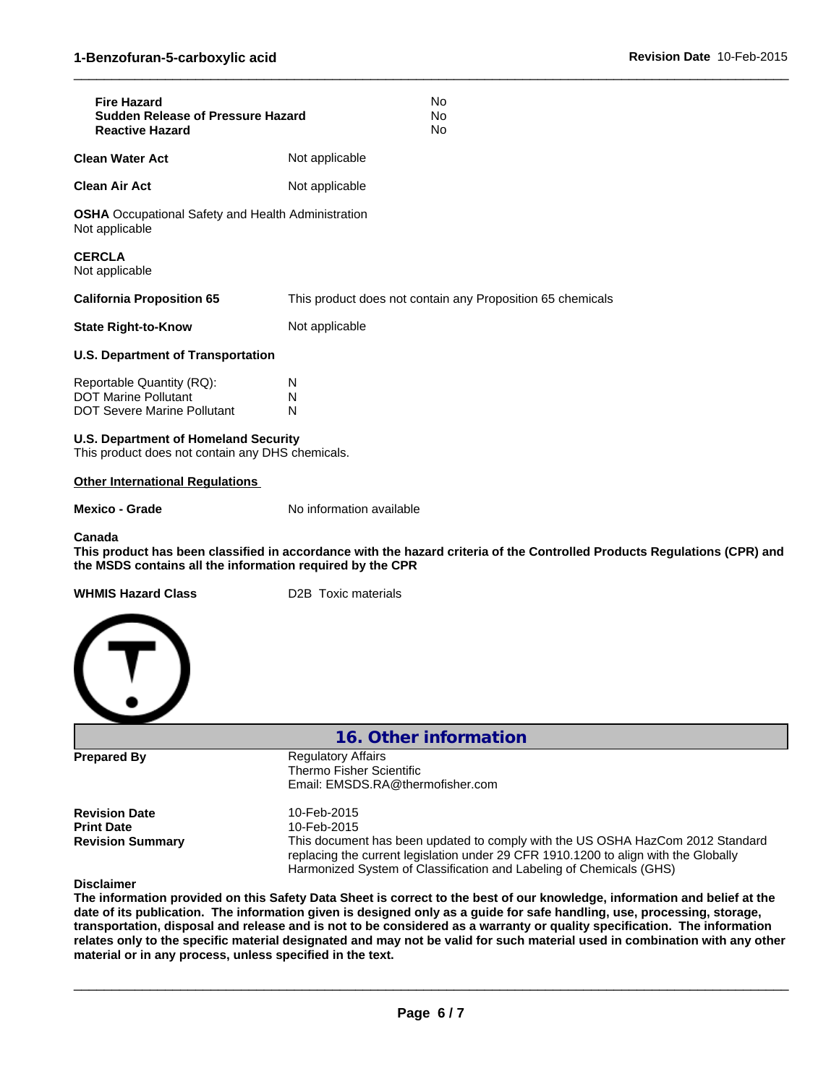| <b>Fire Hazard</b><br><b>Sudden Release of Pressure Hazard</b><br><b>Reactive Hazard</b>        | No<br>No<br>No                                                                                                           |
|-------------------------------------------------------------------------------------------------|--------------------------------------------------------------------------------------------------------------------------|
| <b>Clean Water Act</b>                                                                          | Not applicable                                                                                                           |
| <b>Clean Air Act</b>                                                                            | Not applicable                                                                                                           |
| <b>OSHA</b> Occupational Safety and Health Administration<br>Not applicable                     |                                                                                                                          |
| <b>CERCLA</b><br>Not applicable                                                                 |                                                                                                                          |
| <b>California Proposition 65</b>                                                                | This product does not contain any Proposition 65 chemicals                                                               |
| <b>State Right-to-Know</b>                                                                      | Not applicable                                                                                                           |
| <b>U.S. Department of Transportation</b>                                                        |                                                                                                                          |
| Reportable Quantity (RQ):<br><b>DOT Marine Pollutant</b><br><b>DOT Severe Marine Pollutant</b>  | N<br>N<br>N                                                                                                              |
| <b>U.S. Department of Homeland Security</b><br>This product does not contain any DHS chemicals. |                                                                                                                          |
| <b>Other International Regulations</b>                                                          |                                                                                                                          |
| <b>Mexico - Grade</b>                                                                           | No information available                                                                                                 |
| Canada<br>the MSDS contains all the information required by the CPR                             | This product has been classified in accordance with the hazard criteria of the Controlled Products Regulations (CPR) and |
| <b>WHMIS Hazard Class</b>                                                                       | D2B Toxic materials                                                                                                      |
|                                                                                                 |                                                                                                                          |
|                                                                                                 | 16. Other information                                                                                                    |
| <b>Prepared By</b>                                                                              | <b>Regulatory Affairs</b><br>Thermo Fisher Scientific<br>Email: EMSDS.RA@thermofisher.com                                |
| <b>Revision Date</b><br><b>Print Date</b>                                                       | 10-Feb-2015<br>10-Feb-2015                                                                                               |
| <b>Revision Summary</b>                                                                         | This document has been updated to comply with the US OSHA HazCom 2012 Standard                                           |

**Disclaimer**

**The information provided on this Safety Data Sheet is correct to the best of our knowledge, information and belief at the date of its publication. The information given is designed only as a guide for safe handling, use, processing, storage, transportation, disposal and release and is not to be considered as a warranty or quality specification. The information relates only to the specific material designated and may not be valid for such material used in combination with any other material or in any process, unless specified in the text.**

 $\_$  ,  $\_$  ,  $\_$  ,  $\_$  ,  $\_$  ,  $\_$  ,  $\_$  ,  $\_$  ,  $\_$  ,  $\_$  ,  $\_$  ,  $\_$  ,  $\_$  ,  $\_$  ,  $\_$  ,  $\_$  ,  $\_$  ,  $\_$  ,  $\_$  ,  $\_$  ,  $\_$  ,  $\_$  ,  $\_$  ,  $\_$  ,  $\_$  ,  $\_$  ,  $\_$  ,  $\_$  ,  $\_$  ,  $\_$  ,  $\_$  ,  $\_$  ,  $\_$  ,  $\_$  ,  $\_$  ,  $\_$  ,  $\_$  ,

replacing the current legislation under 29 CFR 1910.1200 to align with the Globally

Harmonized System of Classification and Labeling of Chemicals (GHS)